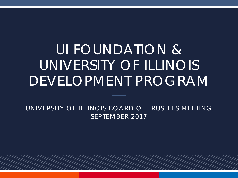# UI FOUNDATION & UNIVERSITY OF ILLINOIS DEVELOPMENT PROGRAM

UNIVERSITY OF ILLINOIS BOARD OF TRUSTEES MEETING SEPTEMBER 2017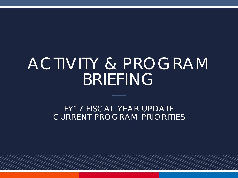# ACTIVITY & PROGRAM BRIEFING

FY17 FISCAL YEAR UPDATE CURRENT PROGRAM PRIORITIES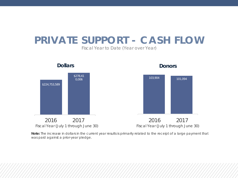# **PRIVATE SUPPORT - CASH FLOW**

*Fiscal Year to Date (Year over Year)*



**Note:** The increase in dollars in the current year results is primarily related to the receipt of a large payment that was paid against a prior-year pledge.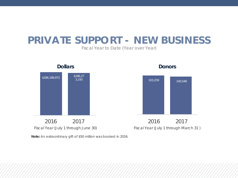## **PRIVATE SUPPORT - NEW BUSINESS**

*Fiscal Year to Date (Year over Year)*



**Note:** An extraordinary gift of \$50 million was booked in 2016.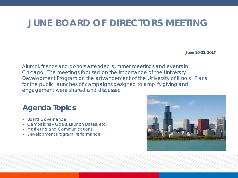### **JUNE BOARD OF DIRECTORS MEETING**

**June 20-22, 2017**

Alumni, friends and donors attended summer meetings and events in Chicago. The meetings focused on the importance of the University Development Program on the advancement of the University of Illinois. Plans for the public launches of campaigns designed to amplify giving and engagement were shared and discussed.

#### **Agenda Topics**

- Board Governance
- Campaigns Goals, Launch Dates, etc.
- Marketing and Communications
- Development Program Performance

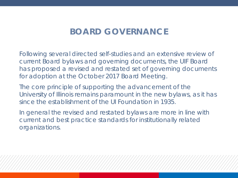#### **BOARD GOVERNANCE**

Following several directed self-studies and an extensive review of current Board bylaws and governing documents, the UIF Board has proposed a revised and restated set of governing documents for adoption at the October 2017 Board Meeting.

The core principle of supporting the advancement of the University of Illinois remains paramount in the new bylaws, as it has since the establishment of the UI Foundation in 1935.

In general the revised and restated bylaws are more in line with current and best practice standards for institutionally related organizations.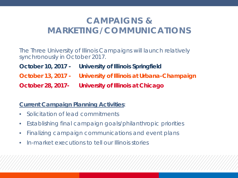### **CAMPAIGNS & MARKETING/COMMUNICATIONS**

The Three University of Illinois Campaigns will launch relatively synchronously in October 2017.

- **October 10, 2017 - University of Illinois Springfield**
- **October 13, 2017 - University of Illinois at Urbana-Champaign**

**October 28, 2017- University of Illinois at Chicago**

#### **Current Campaign Planning Activities**:

- Solicitation of lead commitments
- Establishing final campaign goals/philanthropic priorities
- Finalizing campaign communications and event plans
- In-market executions to tell our Illinois stories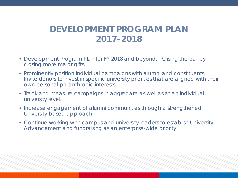#### **DEVELOPMENT PROGRAM PLAN 2017-2018**

- Development Program Plan for FY 2018 and beyond. Raising the bar by closing more major gifts.
- Prominently position individual campaigns with alumni and constituents. Invite donors to invest in specific university priorities that are aligned with their own personal philanthropic interests.
- Track and measure campaigns in aggregate as well as at an individual university level.
- Increase engagement of alumni communities through a strengthened University-based approach.
- Continue working with campus and university leaders to establish University Advancement and fundraising as an enterprise-wide priority.